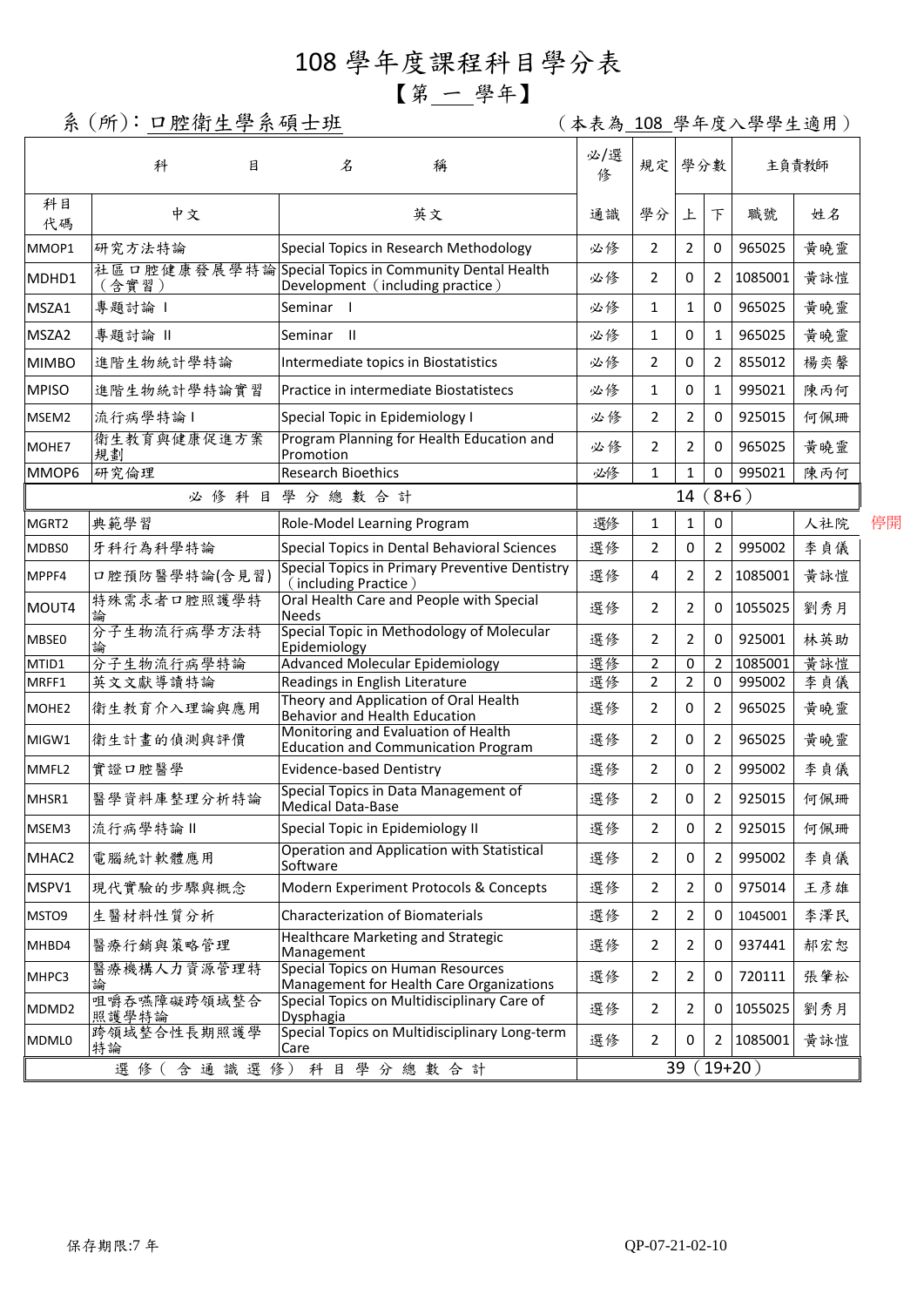## 108 學年度課程科目學分表

## 【第 一 學年】

系(所):口腔衛生學系碩士班 (本表為 108 學年度入學學生適用)

|                             | 科<br>目               | 名<br>稱                                                                                   | 必/選<br>俢       | 規定             | 學分數            |                | 主負責教師   |     |  |
|-----------------------------|----------------------|------------------------------------------------------------------------------------------|----------------|----------------|----------------|----------------|---------|-----|--|
| 科目<br>代碼                    | 中文                   | 英文                                                                                       | 通識             | 學分             | 上              | $\top$         | 職號      | 姓名  |  |
| MMOP1                       | 研究方法特論               | Special Topics in Research Methodology                                                   | 必修             | 2              | $\overline{2}$ | 0              | 965025  | 黃曉靈 |  |
| MDHD1                       | (含實習)                | 社區口腔健康發展學特論Special Topics in Community Dental Health<br>Development (including practice) | 必修             | 2              | 0              | 2              | 1085001 | 黄詠愷 |  |
| MSZA1                       | 專題討論                 | Seminar I                                                                                | 必修             | 1              | $\mathbf{1}$   | 0              | 965025  | 黃曉靈 |  |
| MSZA2                       | 專題討論 II              | Seminar II                                                                               | 必修             | 1              | 0              | 1              | 965025  | 黄曉靈 |  |
| <b>MIMBO</b>                | 進階生物統計學特論            | Intermediate topics in Biostatistics                                                     | 必修             | 2              | 0              | 2              | 855012  | 楊奕馨 |  |
| <b>MPISO</b>                | 進階生物統計學特論實習          | Practice in intermediate Biostatistecs                                                   | 必修             | 1              | 0              | $\mathbf{1}$   | 995021  | 陳丙何 |  |
| MSEM2                       | 流行病學特論1              | Special Topic in Epidemiology I                                                          | 必修             | $\overline{2}$ | $\overline{2}$ | 0              | 925015  | 何佩珊 |  |
| MOHE7                       | 衛生教育與健康促進方案<br>規劃    | Program Planning for Health Education and<br>Promotion                                   | 必修             | 2              | $\overline{2}$ | $\mathbf 0$    | 965025  | 黃曉靈 |  |
| MMOP6                       | 研究倫理                 | <b>Research Bioethics</b>                                                                | 必修             | 1              | $\mathbf{1}$   | 0              | 995021  | 陳丙何 |  |
|                             | 必修科目學分總數合計           |                                                                                          |                | $(8+6)$<br>14  |                |                |         |     |  |
| MGRT2                       | 典範學習                 | Role-Model Learning Program                                                              | 選修             | 1              | $\mathbf{1}$   | 0              |         | 人社院 |  |
| MDBS0                       | 牙科行為科學特論             | Special Topics in Dental Behavioral Sciences                                             | 選修             | 2              | $\mathbf 0$    | 2              | 995002  | 李貞儀 |  |
| MPPF4                       | 口腔預防醫學特論(含見習)        | Special Topics in Primary Preventive Dentistry<br>(including Practice)                   | 選修             | 4              | $\overline{2}$ | $\overline{2}$ | 1085001 | 黄詠愷 |  |
| MOUT4                       | 特殊需求者口腔照護學特          | Oral Health Care and People with Special<br><b>Needs</b>                                 | 選修             | $\overline{2}$ | $\overline{2}$ | 0              | 1055025 | 劉秀月 |  |
| MBSE0                       | 分子生物流行病學方法特          | Special Topic in Methodology of Molecular<br>Epidemiology                                | 選修             | 2              | $\overline{2}$ | 0              | 925001  | 林英助 |  |
| MTID1                       | 分子生物流行病學特論           | <b>Advanced Molecular Epidemiology</b>                                                   | 選修             | $\overline{2}$ | 0              | 2              | 1085001 | 黃詠愷 |  |
| MRFF1                       | 英文文獻導讀特論             | Readings in English Literature                                                           | 選修             | $\overline{2}$ | $\overline{2}$ | $\mathbf 0$    | 995002  | 李貞儀 |  |
| MOHE <sub>2</sub>           | 衛生教育介入理論與應用          | Theory and Application of Oral Health<br>Behavior and Health Education                   | 選修             | 2              | 0              | 2              | 965025  | 黃曉靈 |  |
| MIGW1                       | 衛生計畫的偵測與評價           | Monitoring and Evaluation of Health<br><b>Education and Communication Program</b>        | 選修             | 2              | 0              | 2              | 965025  | 黄曉靈 |  |
| MMFL2                       | 實證口腔醫學               | <b>Evidence-based Dentistry</b>                                                          | 選修             | 2              | 0              | 2              | 995002  | 李貞儀 |  |
| MHSR1                       | 醫學資料庫整理分析特論          | Special Topics in Data Management of<br><b>Medical Data-Base</b>                         | 選修             | 2              | 0              | $\overline{2}$ | 925015  | 何佩珊 |  |
| MSEM3                       | 流行病學特論               | Special Topic in Epidemiology II                                                         | 選修             | 2              | $\pmb{0}$      | 2              | 925015  | 何佩珊 |  |
| MHAC2                       | 電腦統計軟體應用             | Operation and Application with Statistical<br>Software                                   | 選修             | 2              | 0              | $\overline{2}$ | 995002  | 李貞儀 |  |
| MSPV1                       | 現代實驗的步驟與概念           | Modern Experiment Protocols & Concepts                                                   | 選修             | $\overline{2}$ | $\overline{2}$ | $\mathbf 0$    | 975014  | 王彦雄 |  |
| MSTO9                       | 生醫材料性質分析             | <b>Characterization of Biomaterials</b>                                                  | 選修             | 2              | 2              | 0              | 1045001 | 李澤民 |  |
| MHBD4                       | 醫療行銷與策略管理            | Healthcare Marketing and Strategic<br>Management                                         | 選修             | 2              | $\overline{2}$ | 0              | 937441  | 郝宏恕 |  |
| MHPC3                       | 醫療機構人力資源管理特<br>論     | Special Topics on Human Resources<br>Management for Health Care Organizations            | 選修             | 2              | 2              | 0              | 720111  | 張肇松 |  |
| MDMD <sub>2</sub>           | 咀嚼吞嚥障礙跨領域整合<br>照護學特論 | Special Topics on Multidisciplinary Care of<br>Dysphagia                                 | 選修             | $\overline{2}$ | 2              | 0              | 1055025 | 劉秀月 |  |
| MDML0                       | 跨領域整合性長期照護學<br>特論    | Special Topics on Multidisciplinary Long-term<br>Care                                    | 選修             | 2              | 0              | 2              | 1085001 | 黃詠愷 |  |
| 含通識選修)<br>選 修 (<br>科目學分總數合計 |                      |                                                                                          | $19+20)$<br>39 |                |                |                |         |     |  |

停開